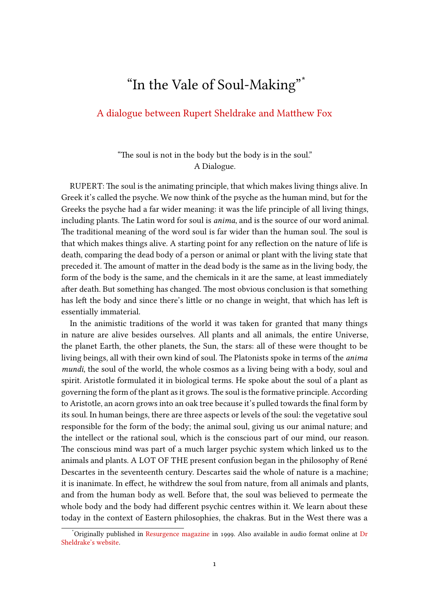## "In the Vale of Soul-Making"\*

## A dialogue between Rupert Sheldrake and Matthew Fox

## "The soul is not in the body but the body is in the soul." A Dialogue.

RUPERT: The soul is the animating principle, that which makes living things alive. In Greek it's called the psyche. We now think of the psyche as the human mind, but for the Greeks the psyche had a far wider meaning: it was the life principle of all living things, including plants. The Latin word for soul is *anima*, and is the source of our word animal. The traditional meaning of the word soul is far wider than the human soul. The soul is that which makes things alive. A starting point for any reflection on the nature of life is death, comparing the dead body of a person or animal or plant with the living state that preceded it. The amount of matter in the dead body is the same as in the living body, the form of the body is the same, and the chemicals in it are the same, at least immediately after death. But something has changed. The most obvious conclusion is that something has left the body and since there's little or no change in weight, that which has left is essentially immaterial.

In the animistic traditions of the world it was taken for granted that many things in nature are alive besides ourselves. All plants and all animals, the entire Universe, the planet Earth, the other planets, the Sun, the stars: all of these were thought to be living beings, all with their own kind of soul. The Platonists spoke in terms of the *anima mundi*, the soul of the world, the whole cosmos as a living being with a body, soul and spirit. Aristotle formulated it in biological terms. He spoke about the soul of a plant as governing the form of the plant as it grows.The soul is the formative principle. According to Aristotle, an acorn grows into an oak tree because it's pulled towards the final form by its soul. In human beings, there are three aspects or levels of the soul: the vegetative soul responsible for the form of the body; the animal soul, giving us our animal nature; and the intellect or the rational soul, which is the conscious part of our mind, our reason. The conscious mind was part of a much larger psychic system which linked us to the animals and plants. A LOT OF THE present confusion began in the philosophy of René Descartes in the seventeenth century. Descartes said the whole of nature is a machine; it is inanimate. In effect, he withdrew the soul from nature, from all animals and plants, and from the human body as well. Before that, the soul was believed to permeate the whole body and the body had different psychic centres within it. We learn about these today in the context of Eastern philosophies, the chakras. But in the West there was a

<sup>\*</sup>Originally published in Resurgence magazine in 1999. Also available in audio format online at Dr Sheldrake's website.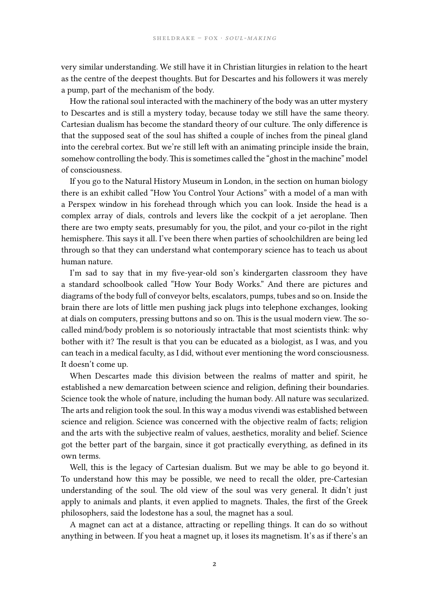very similar understanding. We still have it in Christian liturgies in relation to the heart as the centre of the deepest thoughts. But for Descartes and his followers it was merely a pump, part of the mechanism of the body.

How the rational soul interacted with the machinery of the body was an utter mystery to Descartes and is still a mystery today, because today we still have the same theory. Cartesian dualism has become the standard theory of our culture. The only difference is that the supposed seat of the soul has shifted a couple of inches from the pineal gland into the cerebral cortex. But we're still left with an animating principle inside the brain, somehow controlling the body. This is sometimes called the "ghost in the machine" model of consciousness.

If you go to the Natural History Museum in London, in the section on human biology there is an exhibit called "How You Control Your Actions" with a model of a man with a Perspex window in his forehead through which you can look. Inside the head is a complex array of dials, controls and levers like the cockpit of a jet aeroplane. Then there are two empty seats, presumably for you, the pilot, and your co-pilot in the right hemisphere. This says it all. I've been there when parties of schoolchildren are being led through so that they can understand what contemporary science has to teach us about human nature.

I'm sad to say that in my five-year-old son's kindergarten classroom they have a standard schoolbook called "How Your Body Works." And there are pictures and diagrams of the body full of conveyor belts, escalators, pumps, tubes and so on. Inside the brain there are lots of little men pushing jack plugs into telephone exchanges, looking at dials on computers, pressing buttons and so on. This is the usual modern view. The socalled mind/body problem is so notoriously intractable that most scientists think: why bother with it? The result is that you can be educated as a biologist, as I was, and you can teach in a medical faculty, as I did, without ever mentioning the word consciousness. It doesn't come up.

When Descartes made this division between the realms of matter and spirit, he established a new demarcation between science and religion, defining their boundaries. Science took the whole of nature, including the human body. All nature was secularized. The arts and religion took the soul. In this way a modus vivendi was established between science and religion. Science was concerned with the objective realm of facts; religion and the arts with the subjective realm of values, aesthetics, morality and belief. Science got the better part of the bargain, since it got practically everything, as defined in its own terms.

Well, this is the legacy of Cartesian dualism. But we may be able to go beyond it. To understand how this may be possible, we need to recall the older, pre-Cartesian understanding of the soul. The old view of the soul was very general. It didn't just apply to animals and plants, it even applied to magnets. Thales, the first of the Greek philosophers, said the lodestone has a soul, the magnet has a soul.

A magnet can act at a distance, attracting or repelling things. It can do so without anything in between. If you heat a magnet up, it loses its magnetism. It's as if there's an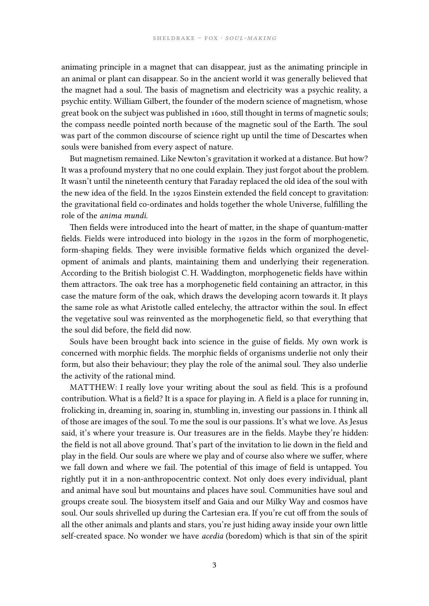animating principle in a magnet that can disappear, just as the animating principle in an animal or plant can disappear. So in the ancient world it was generally believed that the magnet had a soul. The basis of magnetism and electricity was a psychic reality, a psychic entity. William Gilbert, the founder of the modern science of magnetism, whose great book on the subject was published in 1600, still thought in terms of magnetic souls; the compass needle pointed north because of the magnetic soul of the Earth. The soul was part of the common discourse of science right up until the time of Descartes when souls were banished from every aspect of nature.

But magnetism remained. Like Newton's gravitation it worked at a distance. But how? It was a profound mystery that no one could explain. They just forgot about the problem. It wasn't until the nineteenth century that Faraday replaced the old idea of the soul with the new idea of the field. In the 1920s Einstein extended the field concept to gravitation: the gravitational field co-ordinates and holds together the whole Universe, fulfilling the role of the *anima mundi*.

Then fields were introduced into the heart of matter, in the shape of quantum-matter fields. Fields were introduced into biology in the 1920s in the form of morphogenetic, form-shaping fields. They were invisible formative fields which organized the development of animals and plants, maintaining them and underlying their regeneration. According to the British biologist C. H. Waddington, morphogenetic fields have within them attractors. The oak tree has a morphogenetic field containing an attractor, in this case the mature form of the oak, which draws the developing acorn towards it. It plays the same role as what Aristotle called entelechy, the attractor within the soul. In effect the vegetative soul was reinvented as the morphogenetic field, so that everything that the soul did before, the field did now.

Souls have been brought back into science in the guise of fields. My own work is concerned with morphic fields. The morphic fields of organisms underlie not only their form, but also their behaviour; they play the role of the animal soul. They also underlie the activity of the rational mind.

MATTHEW: I really love your writing about the soul as field. This is a profound contribution. What is a field? It is a space for playing in. A field is a place for running in, frolicking in, dreaming in, soaring in, stumbling in, investing our passions in. I think all of those are images of the soul. To me the soul is our passions. It's what we love. As Jesus said, it's where your treasure is. Our treasures are in the fields. Maybe they're hidden: the field is not all above ground. That's part of the invitation to lie down in the field and play in the field. Our souls are where we play and of course also where we suffer, where we fall down and where we fail. The potential of this image of field is untapped. You rightly put it in a non-anthropocentric context. Not only does every individual, plant and animal have soul but mountains and places have soul. Communities have soul and groups create soul. The biosystem itself and Gaia and our Milky Way and cosmos have soul. Our souls shrivelled up during the Cartesian era. If you're cut off from the souls of all the other animals and plants and stars, you're just hiding away inside your own little self-created space. No wonder we have *acedia* (boredom) which is that sin of the spirit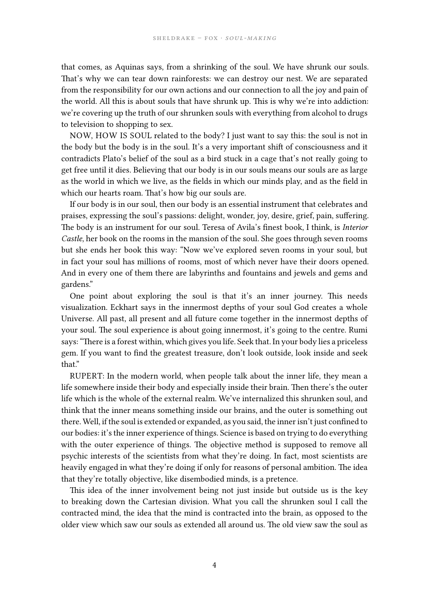that comes, as Aquinas says, from a shrinking of the soul. We have shrunk our souls. That's why we can tear down rainforests: we can destroy our nest. We are separated from the responsibility for our own actions and our connection to all the joy and pain of the world. All this is about souls that have shrunk up. This is why we're into addiction: we're covering up the truth of our shrunken souls with everything from alcohol to drugs to television to shopping to sex.

NOW, HOW IS SOUL related to the body? I just want to say this: the soul is not in the body but the body is in the soul. It's a very important shift of consciousness and it contradicts Plato's belief of the soul as a bird stuck in a cage that's not really going to get free until it dies. Believing that our body is in our souls means our souls are as large as the world in which we live, as the fields in which our minds play, and as the field in which our hearts roam. That's how big our souls are.

If our body is in our soul, then our body is an essential instrument that celebrates and praises, expressing the soul's passions: delight, wonder, joy, desire, grief, pain, suffering. The body is an instrument for our soul. Teresa of Avila's finest book, I think, is *Interior Castle*, her book on the rooms in the mansion of the soul. She goes through seven rooms but she ends her book this way: "Now we've explored seven rooms in your soul, but in fact your soul has millions of rooms, most of which never have their doors opened. And in every one of them there are labyrinths and fountains and jewels and gems and gardens."

One point about exploring the soul is that it's an inner journey. This needs visualization. Eckhart says in the innermost depths of your soul God creates a whole Universe. All past, all present and all future come together in the innermost depths of your soul. The soul experience is about going innermost, it's going to the centre. Rumi says: "There is a forest within, which gives you life. Seek that. In your body lies a priceless gem. If you want to find the greatest treasure, don't look outside, look inside and seek that."

RUPERT: In the modern world, when people talk about the inner life, they mean a life somewhere inside their body and especially inside their brain. Then there's the outer life which is the whole of the external realm. We've internalized this shrunken soul, and think that the inner means something inside our brains, and the outer is something out there. Well, if the soul is extended or expanded, as you said, the inner isn't just confined to our bodies: it's the inner experience of things. Science is based on trying to do everything with the outer experience of things. The objective method is supposed to remove all psychic interests of the scientists from what they're doing. In fact, most scientists are heavily engaged in what they're doing if only for reasons of personal ambition. The idea that they're totally objective, like disembodied minds, is a pretence.

This idea of the inner involvement being not just inside but outside us is the key to breaking down the Cartesian division. What you call the shrunken soul I call the contracted mind, the idea that the mind is contracted into the brain, as opposed to the older view which saw our souls as extended all around us. The old view saw the soul as